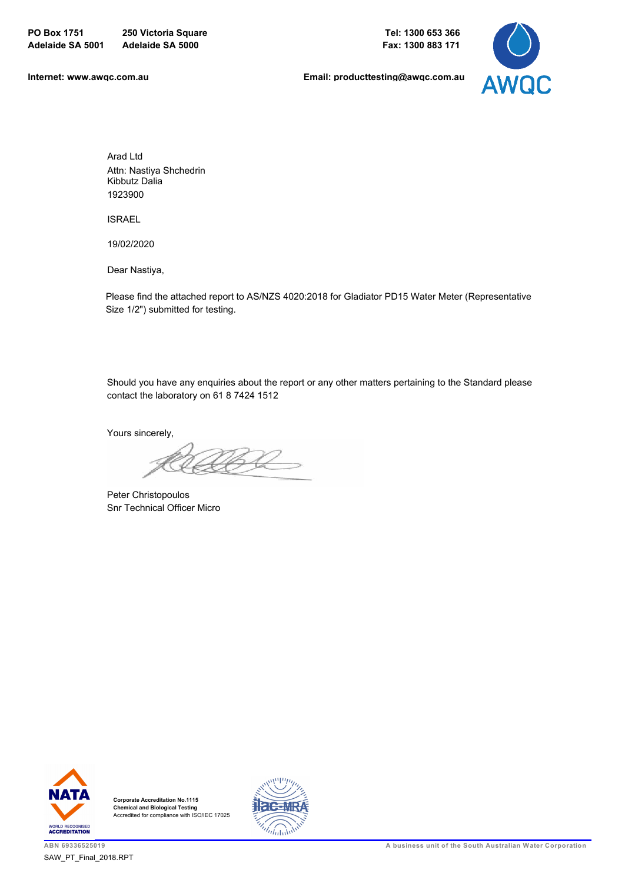

**[Internet: www.awqc.com.au](https://www.awqc.com.au)**

**[Email: producttesting@awqc.com.au](mailto:awqc@sawater.com.au)**

Arad Ltd Attn: Nastiya Shchedrin Kibbutz Dalia 1923900

ISRAEL

19/02/2020

Dear Nastiya,

Please find the attached report to AS/NZS 4020:2018 for Gladiator PD15 Water Meter (Representative Size 1/2") submitted for testing.

Should you have any enquiries about the report or any other matters pertaining to the Standard please contact the laboratory on 61 8 7424 1512

Yours sincerely,

Peter Christopoulos Snr Technical Officer Micro



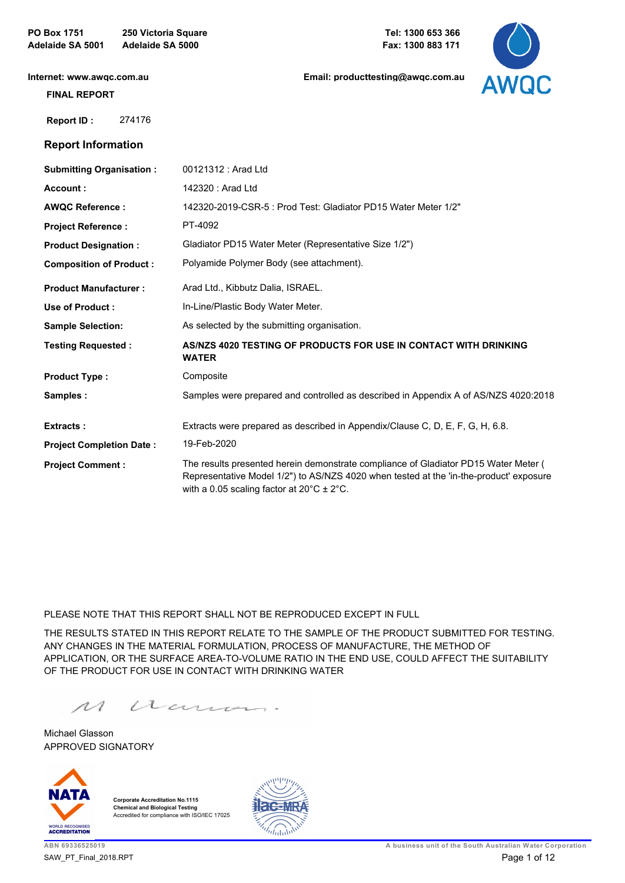**PO Box 1751 250 Victoria Square Adelaide SA 5001 Adelaide SA 5000**

**[Email: producttesting@awqc.com.au](mailto:awqc@sawater.com.au)**



**[Internet: www.awqc.com.au](https://www.awqc.com.au)**

#### **FINAL REPORT**

 **Report ID :** 274176

### **Report Information**

| <b>Submitting Organisation:</b> | 00121312 : Arad Ltd                                                                                                                                                                                                                      |
|---------------------------------|------------------------------------------------------------------------------------------------------------------------------------------------------------------------------------------------------------------------------------------|
| Account:                        | 142320 : Arad Ltd                                                                                                                                                                                                                        |
| <b>AWQC Reference:</b>          | 142320-2019-CSR-5: Prod Test: Gladiator PD15 Water Meter 1/2"                                                                                                                                                                            |
| <b>Project Reference:</b>       | PT-4092                                                                                                                                                                                                                                  |
| <b>Product Designation:</b>     | Gladiator PD15 Water Meter (Representative Size 1/2")                                                                                                                                                                                    |
| <b>Composition of Product:</b>  | Polyamide Polymer Body (see attachment).                                                                                                                                                                                                 |
| <b>Product Manufacturer:</b>    | Arad Ltd., Kibbutz Dalia, ISRAEL.                                                                                                                                                                                                        |
| Use of Product:                 | In-Line/Plastic Body Water Meter.                                                                                                                                                                                                        |
| <b>Sample Selection:</b>        | As selected by the submitting organisation.                                                                                                                                                                                              |
| <b>Testing Requested:</b>       | AS/NZS 4020 TESTING OF PRODUCTS FOR USE IN CONTACT WITH DRINKING<br><b>WATER</b>                                                                                                                                                         |
| <b>Product Type:</b>            | Composite                                                                                                                                                                                                                                |
| Samples:                        | Samples were prepared and controlled as described in Appendix A of AS/NZS 4020:2018                                                                                                                                                      |
| <b>Extracts:</b>                | Extracts were prepared as described in Appendix/Clause C, D, E, F, G, H, 6.8.                                                                                                                                                            |
| <b>Project Completion Date:</b> | 19-Feb-2020                                                                                                                                                                                                                              |
| <b>Project Comment:</b>         | The results presented herein demonstrate compliance of Gladiator PD15 Water Meter (<br>Representative Model 1/2") to AS/NZS 4020 when tested at the 'in-the-product' exposure<br>with a 0.05 scaling factor at $20^{\circ}$ C $\pm$ 2°C. |

PLEASE NOTE THAT THIS REPORT SHALL NOT BE REPRODUCED EXCEPT IN FULL

THE RESULTS STATED IN THIS REPORT RELATE TO THE SAMPLE OF THE PRODUCT SUBMITTED FOR TESTING. ANY CHANGES IN THE MATERIAL FORMULATION, PROCESS OF MANUFACTURE, THE METHOD OF APPLICATION, OR THE SURFACE AREA-TO-VOLUME RATIO IN THE END USE, COULD AFFECT THE SUITABILITY OF THE PRODUCT FOR USE IN CONTACT WITH DRINKING WATER

acum.  $\mathcal{M}$ 

APPROVED SIGNATORY Michael Glasson



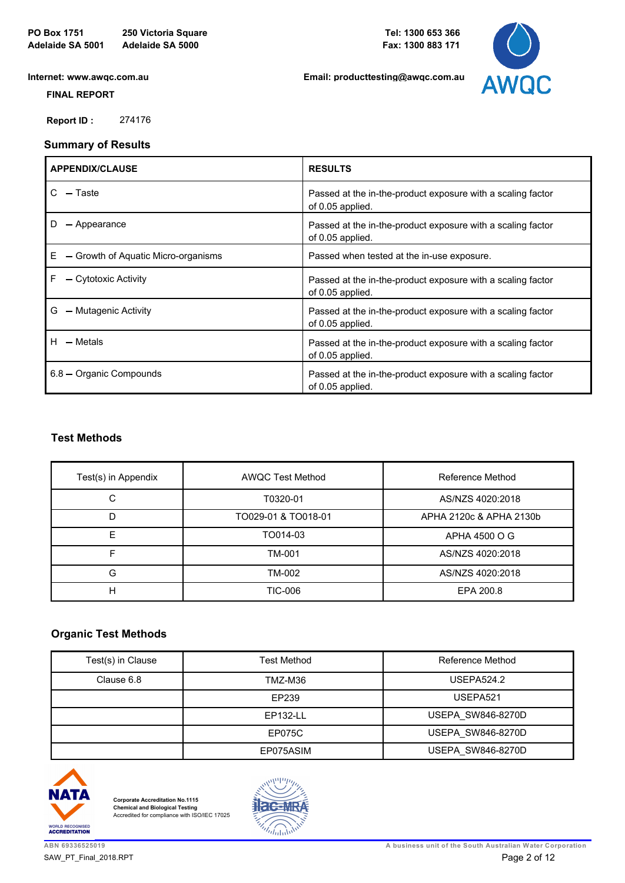**[Email: producttesting@awqc.com.au](mailto:awqc@sawater.com.au)**



**[Internet: www.awqc.com.au](https://www.awqc.com.au)**

 **FINAL REPORT**

 **Report ID :** 274176

### **Summary of Results**

| <b>APPENDIX/CLAUSE</b>                   | <b>RESULTS</b>                                                                  |
|------------------------------------------|---------------------------------------------------------------------------------|
| - Taste                                  | Passed at the in-the-product exposure with a scaling factor<br>of 0.05 applied. |
| — Appearance                             | Passed at the in-the-product exposure with a scaling factor<br>of 0.05 applied. |
| - Growth of Aquatic Micro-organisms<br>Е | Passed when tested at the in-use exposure.                                      |
| F<br>- Cytotoxic Activity                | Passed at the in-the-product exposure with a scaling factor<br>of 0.05 applied. |
| - Mutagenic Activity<br>G                | Passed at the in-the-product exposure with a scaling factor<br>of 0.05 applied. |
| - Metals<br>H.                           | Passed at the in-the-product exposure with a scaling factor<br>of 0.05 applied. |
| 6.8 - Organic Compounds                  | Passed at the in-the-product exposure with a scaling factor<br>of 0.05 applied. |

## **Test Methods**

| Test(s) in Appendix | <b>AWQC Test Method</b> | Reference Method        |
|---------------------|-------------------------|-------------------------|
| С                   | T0320-01                | AS/NZS 4020:2018        |
| D                   | TO029-01 & TO018-01     | APHA 2120c & APHA 2130b |
| F                   | TO014-03                | APHA 4500 O G           |
|                     | TM-001                  | AS/NZS 4020:2018        |
| G                   | TM-002                  | AS/NZS 4020:2018        |
| н                   | TIC-006                 | EPA 200.8               |

## **Organic Test Methods**

| Test(s) in Clause | <b>Test Method</b> | Reference Method         |
|-------------------|--------------------|--------------------------|
| Clause 6.8        | TMZ-M36            | <b>USEPA524.2</b>        |
|                   | EP239              | USEPA521                 |
|                   | EP132-LL           | <b>USEPA SW846-8270D</b> |
|                   | <b>EP075C</b>      | <b>USEPA SW846-8270D</b> |
|                   | EP075ASIM          | <b>USEPA SW846-8270D</b> |



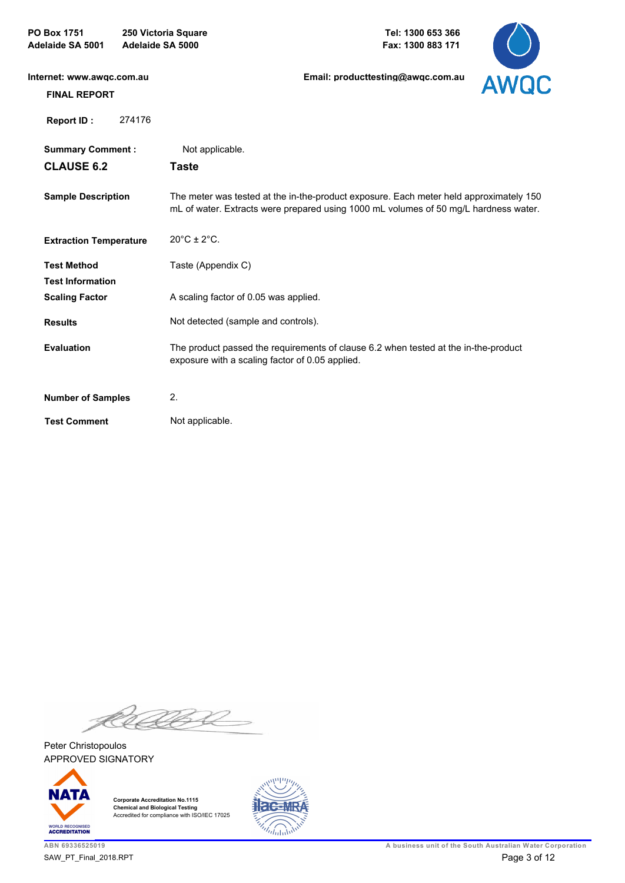| <b>PO Box 1751</b><br>250 Victoria Square<br>Adelaide SA 5000<br>Adelaide SA 5001 |        |                                       | Tel: 1300 653 366<br>Fax: 1300 883 171                                                                                                                                         |      |
|-----------------------------------------------------------------------------------|--------|---------------------------------------|--------------------------------------------------------------------------------------------------------------------------------------------------------------------------------|------|
| Internet: www.awgc.com.au                                                         |        |                                       | Email: producttesting@awqc.com.au                                                                                                                                              | AWQC |
| <b>FINAL REPORT</b>                                                               |        |                                       |                                                                                                                                                                                |      |
| Report ID:                                                                        | 274176 |                                       |                                                                                                                                                                                |      |
| <b>Summary Comment:</b>                                                           |        | Not applicable.                       |                                                                                                                                                                                |      |
| <b>CLAUSE 6.2</b>                                                                 |        | <b>Taste</b>                          |                                                                                                                                                                                |      |
| <b>Sample Description</b>                                                         |        |                                       | The meter was tested at the in-the-product exposure. Each meter held approximately 150<br>mL of water. Extracts were prepared using 1000 mL volumes of 50 mg/L hardness water. |      |
| <b>Extraction Temperature</b>                                                     |        | $20^{\circ}$ C ± 2 $^{\circ}$ C.      |                                                                                                                                                                                |      |
| <b>Test Method</b>                                                                |        | Taste (Appendix C)                    |                                                                                                                                                                                |      |
| <b>Test Information</b>                                                           |        |                                       |                                                                                                                                                                                |      |
| <b>Scaling Factor</b>                                                             |        | A scaling factor of 0.05 was applied. |                                                                                                                                                                                |      |
| <b>Results</b>                                                                    |        | Not detected (sample and controls).   |                                                                                                                                                                                |      |
| <b>Evaluation</b>                                                                 |        |                                       | The product passed the requirements of clause 6.2 when tested at the in-the-product<br>exposure with a scaling factor of 0.05 applied.                                         |      |
| <b>Number of Samples</b>                                                          |        | 2.                                    |                                                                                                                                                                                |      |
| <b>Test Comment</b>                                                               |        | Not applicable.                       |                                                                                                                                                                                |      |

K 522

APPROVED SIGNATORY Peter Christopoulos



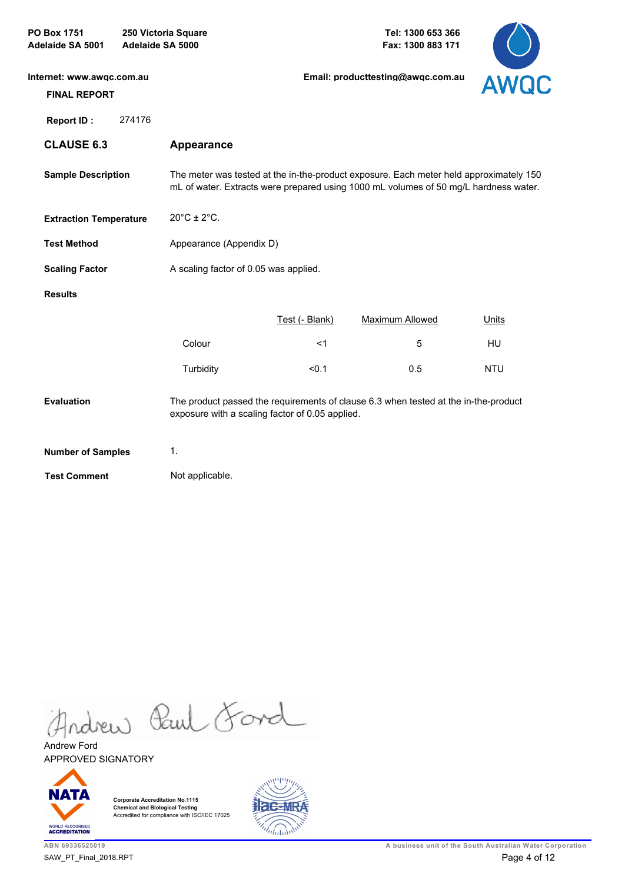| PO Box 1751<br>Adelaide SA 5001                  | Adelaide SA 5000 | 250 Victoria Square              |                                                 | Tel: 1300 653 366<br>Fax: 1300 883 171                                                                                                                                         |              |
|--------------------------------------------------|------------------|----------------------------------|-------------------------------------------------|--------------------------------------------------------------------------------------------------------------------------------------------------------------------------------|--------------|
| Internet: www.awqc.com.au<br><b>FINAL REPORT</b> |                  |                                  |                                                 | Email: producttesting@awgc.com.au                                                                                                                                              | AWQC         |
| <b>Report ID:</b>                                | 274176           |                                  |                                                 |                                                                                                                                                                                |              |
| <b>CLAUSE 6.3</b>                                |                  | Appearance                       |                                                 |                                                                                                                                                                                |              |
| <b>Sample Description</b>                        |                  |                                  |                                                 | The meter was tested at the in-the-product exposure. Each meter held approximately 150<br>mL of water. Extracts were prepared using 1000 mL volumes of 50 mg/L hardness water. |              |
| <b>Extraction Temperature</b>                    |                  | $20^{\circ}$ C ± 2 $^{\circ}$ C. |                                                 |                                                                                                                                                                                |              |
| <b>Test Method</b>                               |                  | Appearance (Appendix D)          |                                                 |                                                                                                                                                                                |              |
| <b>Scaling Factor</b>                            |                  |                                  | A scaling factor of 0.05 was applied.           |                                                                                                                                                                                |              |
| <b>Results</b>                                   |                  |                                  |                                                 |                                                                                                                                                                                |              |
|                                                  |                  |                                  | Test (- Blank)                                  | <b>Maximum Allowed</b>                                                                                                                                                         | <b>Units</b> |
|                                                  |                  | Colour                           | $<$ 1                                           | 5                                                                                                                                                                              | <b>HU</b>    |
|                                                  |                  | Turbidity                        | < 0.1                                           | 0.5                                                                                                                                                                            | <b>NTU</b>   |
| <b>Evaluation</b>                                |                  |                                  | exposure with a scaling factor of 0.05 applied. | The product passed the requirements of clause 6.3 when tested at the in-the-product                                                                                            |              |
| <b>Number of Samples</b>                         |                  | 1.                               |                                                 |                                                                                                                                                                                |              |
| <b>Test Comment</b>                              |                  | Not applicable.                  |                                                 |                                                                                                                                                                                |              |

Andrew Paul Ford

APPROVED SIGNATORY Andrew Ford



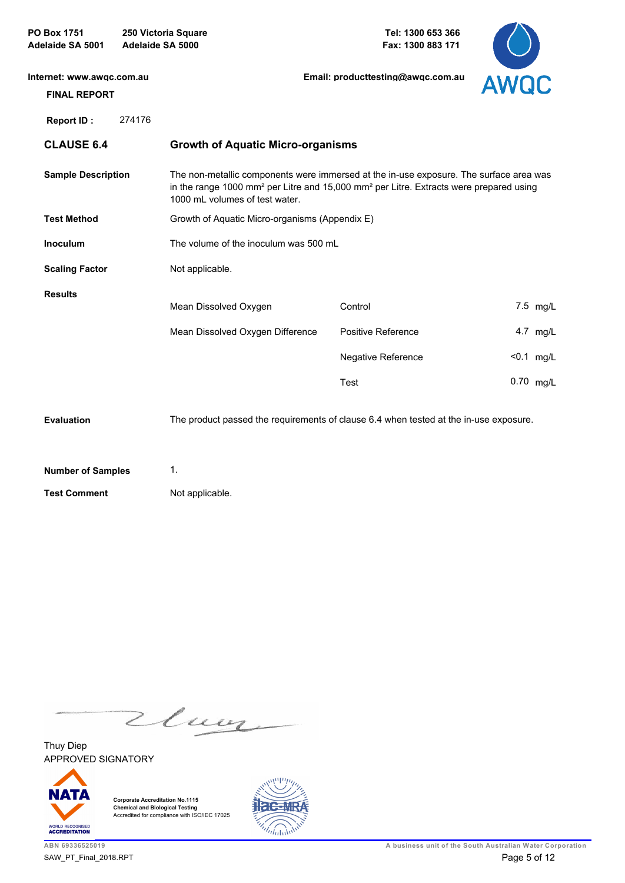| PO Box 1751<br>Adelaide SA 5001                  | Adelaide SA 5000 | 250 Victoria Square                                                                                                                                                                                                                        |         | Tel: 1300 653 366<br>Fax: 1300 883 171 |      |              |
|--------------------------------------------------|------------------|--------------------------------------------------------------------------------------------------------------------------------------------------------------------------------------------------------------------------------------------|---------|----------------------------------------|------|--------------|
| Internet: www.awgc.com.au<br><b>FINAL REPORT</b> |                  |                                                                                                                                                                                                                                            |         | Email: producttesting@awgc.com.au      | AWQC |              |
| <b>Report ID:</b>                                | 274176           |                                                                                                                                                                                                                                            |         |                                        |      |              |
| <b>CLAUSE 6.4</b>                                |                  | <b>Growth of Aquatic Micro-organisms</b>                                                                                                                                                                                                   |         |                                        |      |              |
| <b>Sample Description</b>                        |                  | The non-metallic components were immersed at the in-use exposure. The surface area was<br>in the range 1000 mm <sup>2</sup> per Litre and 15,000 mm <sup>2</sup> per Litre. Extracts were prepared using<br>1000 mL volumes of test water. |         |                                        |      |              |
| <b>Test Method</b>                               |                  | Growth of Aquatic Micro-organisms (Appendix E)                                                                                                                                                                                             |         |                                        |      |              |
| <b>Inoculum</b>                                  |                  | The volume of the inoculum was 500 mL                                                                                                                                                                                                      |         |                                        |      |              |
| <b>Scaling Factor</b>                            |                  | Not applicable.                                                                                                                                                                                                                            |         |                                        |      |              |
| <b>Results</b>                                   |                  | Mean Dissolved Oxygen                                                                                                                                                                                                                      | Control |                                        |      | 7.5 mg/L     |
|                                                  |                  | Mean Dissolved Oxygen Difference                                                                                                                                                                                                           |         | Positive Reference                     |      | 4.7 mg/L     |
|                                                  |                  |                                                                                                                                                                                                                                            |         | Negative Reference                     |      | $< 0.1$ mg/L |
|                                                  |                  |                                                                                                                                                                                                                                            | Test    |                                        |      | 0.70 mg/L    |
| Evaluation                                       |                  | The product passed the requirements of clause 6.4 when tested at the in-use exposure.                                                                                                                                                      |         |                                        |      |              |
| <b>Number of Samples</b>                         |                  | 1.                                                                                                                                                                                                                                         |         |                                        |      |              |
| <b>Test Comment</b>                              |                  | Not applicable.                                                                                                                                                                                                                            |         |                                        |      |              |

Zluoz

APPROVED SIGNATORY Thuy Diep



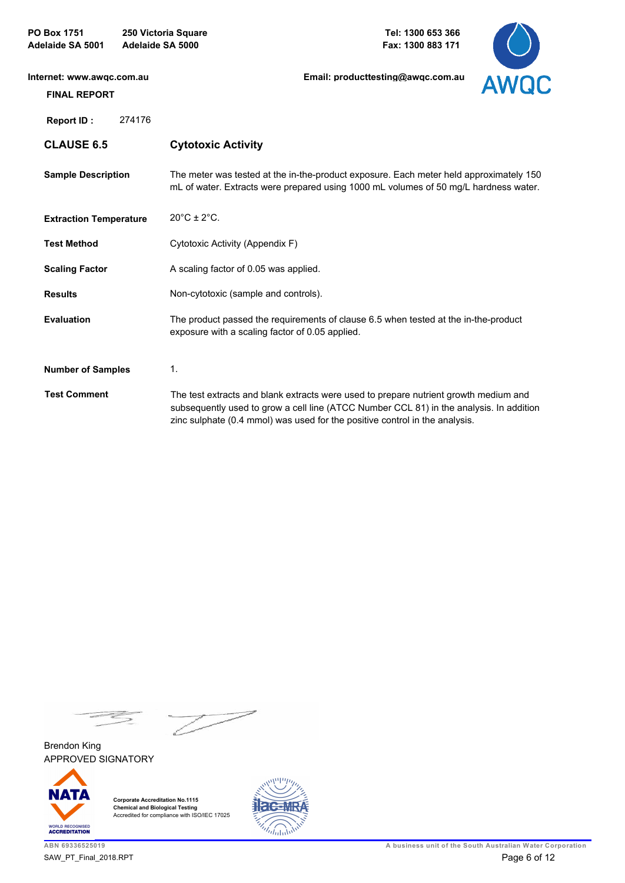| <b>PO Box 1751</b><br>250 Victoria Square<br>Adelaide SA 5000<br><b>Adelaide SA 5001</b> |        |                                                                                                                                                                                                                                                                | Tel: 1300 653 366<br>Fax: 1300 883 171 |             |
|------------------------------------------------------------------------------------------|--------|----------------------------------------------------------------------------------------------------------------------------------------------------------------------------------------------------------------------------------------------------------------|----------------------------------------|-------------|
| Internet: www.awgc.com.au<br><b>FINAL REPORT</b>                                         |        |                                                                                                                                                                                                                                                                | Email: producttesting@awgc.com.au      | <b>AWOC</b> |
| <b>Report ID:</b>                                                                        | 274176 |                                                                                                                                                                                                                                                                |                                        |             |
| <b>CLAUSE 6.5</b>                                                                        |        | <b>Cytotoxic Activity</b>                                                                                                                                                                                                                                      |                                        |             |
| <b>Sample Description</b>                                                                |        | The meter was tested at the in-the-product exposure. Each meter held approximately 150<br>mL of water. Extracts were prepared using 1000 mL volumes of 50 mg/L hardness water.                                                                                 |                                        |             |
| <b>Extraction Temperature</b>                                                            |        | $20^{\circ}$ C ± $2^{\circ}$ C.                                                                                                                                                                                                                                |                                        |             |
| <b>Test Method</b>                                                                       |        | Cytotoxic Activity (Appendix F)                                                                                                                                                                                                                                |                                        |             |
| <b>Scaling Factor</b>                                                                    |        | A scaling factor of 0.05 was applied.                                                                                                                                                                                                                          |                                        |             |
| <b>Results</b>                                                                           |        | Non-cytotoxic (sample and controls).                                                                                                                                                                                                                           |                                        |             |
| <b>Evaluation</b>                                                                        |        | The product passed the requirements of clause 6.5 when tested at the in-the-product<br>exposure with a scaling factor of 0.05 applied.                                                                                                                         |                                        |             |
| <b>Number of Samples</b>                                                                 |        | 1.                                                                                                                                                                                                                                                             |                                        |             |
| <b>Test Comment</b>                                                                      |        | The test extracts and blank extracts were used to prepare nutrient growth medium and<br>subsequently used to grow a cell line (ATCC Number CCL 81) in the analysis. In addition<br>zinc sulphate (0.4 mmol) was used for the positive control in the analysis. |                                        |             |

 $\frac{1}{\sqrt{2}}$ 

APPROVED SIGNATORY Brendon King



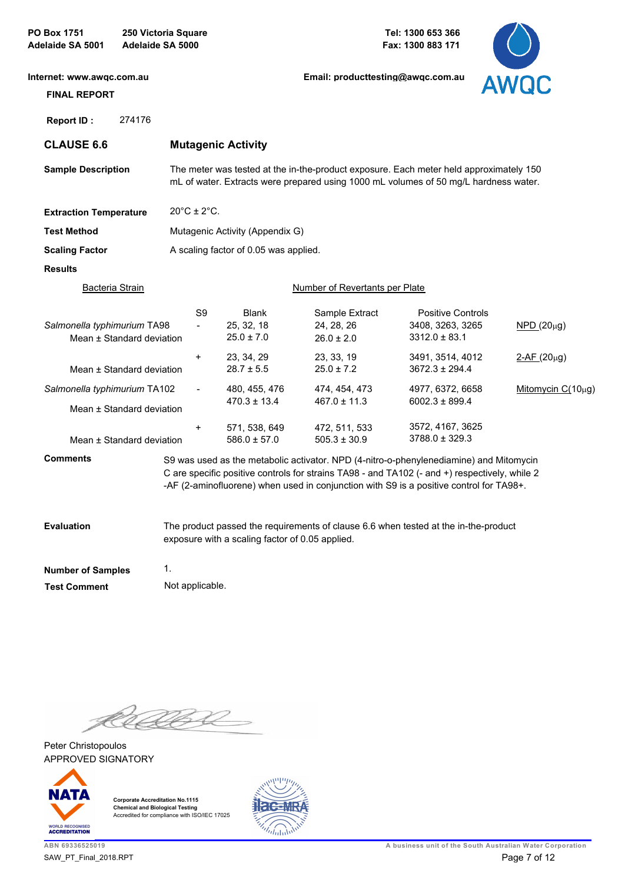| <b>PO Box 1751</b><br><b>Adelaide SA 5001</b>    | 250 Victoria Square<br>Adelaide SA 5000 |                                            |                                                 | Tel: 1300 653 366<br>Fax: 1300 883 171         |                                                                                                                                                                                                                                                                                    |                   |
|--------------------------------------------------|-----------------------------------------|--------------------------------------------|-------------------------------------------------|------------------------------------------------|------------------------------------------------------------------------------------------------------------------------------------------------------------------------------------------------------------------------------------------------------------------------------------|-------------------|
| Internet: www.awgc.com.au<br><b>FINAL REPORT</b> |                                         |                                            |                                                 | Email: producttesting@awgc.com.au              |                                                                                                                                                                                                                                                                                    | <b>AWQC</b>       |
| Report ID:                                       | 274176                                  |                                            |                                                 |                                                |                                                                                                                                                                                                                                                                                    |                   |
| <b>CLAUSE 6.6</b>                                |                                         |                                            | <b>Mutagenic Activity</b>                       |                                                |                                                                                                                                                                                                                                                                                    |                   |
| <b>Sample Description</b>                        |                                         |                                            |                                                 |                                                | The meter was tested at the in-the-product exposure. Each meter held approximately 150<br>mL of water. Extracts were prepared using 1000 mL volumes of 50 mg/L hardness water.                                                                                                     |                   |
| <b>Extraction Temperature</b>                    |                                         | $20^{\circ}$ C ± 2 $^{\circ}$ C.           |                                                 |                                                |                                                                                                                                                                                                                                                                                    |                   |
| <b>Test Method</b>                               |                                         |                                            | Mutagenic Activity (Appendix G)                 |                                                |                                                                                                                                                                                                                                                                                    |                   |
| <b>Scaling Factor</b>                            |                                         |                                            | A scaling factor of 0.05 was applied.           |                                                |                                                                                                                                                                                                                                                                                    |                   |
| <b>Results</b>                                   |                                         |                                            |                                                 |                                                |                                                                                                                                                                                                                                                                                    |                   |
|                                                  | <u>Bacteria Strain</u>                  |                                            |                                                 | Number of Revertants per Plate                 |                                                                                                                                                                                                                                                                                    |                   |
| Salmonella typhimurium TA98                      | Mean ± Standard deviation               | S <sub>9</sub><br>$\overline{\phantom{0}}$ | <b>Blank</b><br>25, 32, 18<br>$25.0 \pm 7.0$    | Sample Extract<br>24, 28, 26<br>$26.0 \pm 2.0$ | <b>Positive Controls</b><br>3408, 3263, 3265<br>$3312.0 \pm 83.1$                                                                                                                                                                                                                  | $NPD(20\mu g)$    |
|                                                  | Mean ± Standard deviation               | $\ddot{}$                                  | 23, 34, 29<br>$28.7 \pm 5.5$                    | 23, 33, 19<br>$25.0 \pm 7.2$                   | 3491, 3514, 4012<br>$3672.3 \pm 294.4$                                                                                                                                                                                                                                             | $2-AF(20\mu g)$   |
| Salmonella typhimurium TA102                     | Mean ± Standard deviation               | $\overline{\phantom{0}}$                   | 480, 455, 476<br>$470.3 \pm 13.4$               | 474, 454, 473<br>$467.0 \pm 11.3$              | 4977, 6372, 6658<br>$6002.3 \pm 899.4$                                                                                                                                                                                                                                             | Mitomycin C(10µg) |
|                                                  | Mean ± Standard deviation               | +                                          | 571, 538, 649<br>$586.0 \pm 57.0$               | 472, 511, 533<br>$505.3 \pm 30.9$              | 3572, 4167, 3625<br>$3788.0 \pm 329.3$                                                                                                                                                                                                                                             |                   |
| <b>Comments</b>                                  |                                         |                                            |                                                 |                                                | S9 was used as the metabolic activator. NPD (4-nitro-o-phenylenediamine) and Mitomycin<br>C are specific positive controls for strains TA98 - and TA102 (- and +) respectively, while 2<br>-AF (2-aminofluorene) when used in conjunction with S9 is a positive control for TA98+. |                   |
| <b>Evaluation</b>                                |                                         |                                            | exposure with a scaling factor of 0.05 applied. |                                                | The product passed the requirements of clause 6.6 when tested at the in-the-product                                                                                                                                                                                                |                   |
| <b>Number of Samples</b>                         | 1.                                      |                                            |                                                 |                                                |                                                                                                                                                                                                                                                                                    |                   |
| <b>Test Comment</b>                              |                                         | Not applicable.                            |                                                 |                                                |                                                                                                                                                                                                                                                                                    |                   |

K

APPROVED SIGNATORY Peter Christopoulos



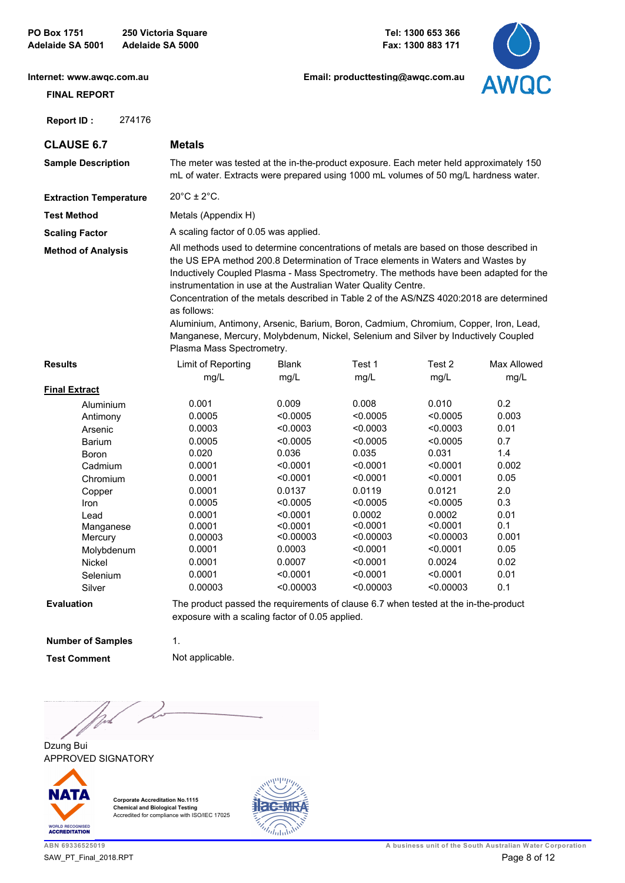**PO Box 1751 250 Victoria Square Adelaide SA 5001 Adelaide SA 5000**

**Tel: 1300 653 366 Fax: 1300 883 171**



**[Internet: www.awqc.com.au](https://www.awqc.com.au)**

# **FINAL REPORT**

 **Report ID :** 274176

**[Email: producttesting@awqc.com.au](mailto:awqc@sawater.com.au)**

| <b>CLAUSE 6.7</b>             | <b>Metals</b>                            |                                                                                                                                                                                                                                                                                                                                                                                                                                                                                                                                                                                                              |           |           |             |  |  |
|-------------------------------|------------------------------------------|--------------------------------------------------------------------------------------------------------------------------------------------------------------------------------------------------------------------------------------------------------------------------------------------------------------------------------------------------------------------------------------------------------------------------------------------------------------------------------------------------------------------------------------------------------------------------------------------------------------|-----------|-----------|-------------|--|--|
| <b>Sample Description</b>     |                                          | The meter was tested at the in-the-product exposure. Each meter held approximately 150<br>mL of water. Extracts were prepared using 1000 mL volumes of 50 mg/L hardness water.                                                                                                                                                                                                                                                                                                                                                                                                                               |           |           |             |  |  |
| <b>Extraction Temperature</b> | $20^{\circ}$ C ± 2 $^{\circ}$ C.         |                                                                                                                                                                                                                                                                                                                                                                                                                                                                                                                                                                                                              |           |           |             |  |  |
| <b>Test Method</b>            | Metals (Appendix H)                      |                                                                                                                                                                                                                                                                                                                                                                                                                                                                                                                                                                                                              |           |           |             |  |  |
| <b>Scaling Factor</b>         | A scaling factor of 0.05 was applied.    |                                                                                                                                                                                                                                                                                                                                                                                                                                                                                                                                                                                                              |           |           |             |  |  |
| <b>Method of Analysis</b>     | as follows:<br>Plasma Mass Spectrometry. | All methods used to determine concentrations of metals are based on those described in<br>the US EPA method 200.8 Determination of Trace elements in Waters and Wastes by<br>Inductively Coupled Plasma - Mass Spectrometry. The methods have been adapted for the<br>instrumentation in use at the Australian Water Quality Centre.<br>Concentration of the metals described in Table 2 of the AS/NZS 4020:2018 are determined<br>Aluminium, Antimony, Arsenic, Barium, Boron, Cadmium, Chromium, Copper, Iron, Lead,<br>Manganese, Mercury, Molybdenum, Nickel, Selenium and Silver by Inductively Coupled |           |           |             |  |  |
| <b>Results</b>                | Limit of Reporting                       | <b>Blank</b>                                                                                                                                                                                                                                                                                                                                                                                                                                                                                                                                                                                                 | Test 1    | Test 2    | Max Allowed |  |  |
|                               | mg/L                                     | mg/L                                                                                                                                                                                                                                                                                                                                                                                                                                                                                                                                                                                                         | mg/L      | mg/L      | mg/L        |  |  |
| <b>Final Extract</b>          |                                          |                                                                                                                                                                                                                                                                                                                                                                                                                                                                                                                                                                                                              |           |           |             |  |  |
| Aluminium                     | 0.001                                    | 0.009                                                                                                                                                                                                                                                                                                                                                                                                                                                                                                                                                                                                        | 0.008     | 0.010     | 0.2         |  |  |
| Antimony                      | 0.0005                                   | < 0.0005                                                                                                                                                                                                                                                                                                                                                                                                                                                                                                                                                                                                     | < 0.0005  | < 0.0005  | 0.003       |  |  |
| Arsenic                       | 0.0003                                   | < 0.0003                                                                                                                                                                                                                                                                                                                                                                                                                                                                                                                                                                                                     | < 0.0003  | < 0.0003  | 0.01        |  |  |
| <b>Barium</b>                 | 0.0005                                   | < 0.0005                                                                                                                                                                                                                                                                                                                                                                                                                                                                                                                                                                                                     | < 0.0005  | < 0.0005  | 0.7         |  |  |
| Boron                         | 0.020                                    | 0.036                                                                                                                                                                                                                                                                                                                                                                                                                                                                                                                                                                                                        | 0.035     | 0.031     | 1.4         |  |  |
| Cadmium                       | 0.0001                                   | < 0.0001                                                                                                                                                                                                                                                                                                                                                                                                                                                                                                                                                                                                     | < 0.0001  | < 0.0001  | 0.002       |  |  |
| Chromium                      | 0.0001                                   | < 0.0001                                                                                                                                                                                                                                                                                                                                                                                                                                                                                                                                                                                                     | < 0.0001  | < 0.0001  | 0.05        |  |  |
| Copper                        | 0.0001                                   | 0.0137                                                                                                                                                                                                                                                                                                                                                                                                                                                                                                                                                                                                       | 0.0119    | 0.0121    | 2.0         |  |  |
| Iron                          | 0.0005                                   | < 0.0005                                                                                                                                                                                                                                                                                                                                                                                                                                                                                                                                                                                                     | < 0.0005  | < 0.0005  | 0.3         |  |  |
| Lead                          | 0.0001                                   | < 0.0001                                                                                                                                                                                                                                                                                                                                                                                                                                                                                                                                                                                                     | 0.0002    | 0.0002    | 0.01        |  |  |
| Manganese                     | 0.0001                                   | < 0.0001                                                                                                                                                                                                                                                                                                                                                                                                                                                                                                                                                                                                     | < 0.0001  | < 0.0001  | 0.1         |  |  |
| Mercury                       | 0.00003                                  | < 0.00003                                                                                                                                                                                                                                                                                                                                                                                                                                                                                                                                                                                                    | < 0.00003 | < 0.00003 | 0.001       |  |  |
| Molybdenum                    | 0.0001                                   | 0.0003                                                                                                                                                                                                                                                                                                                                                                                                                                                                                                                                                                                                       | < 0.0001  | < 0.0001  | 0.05        |  |  |
| Nickel                        | 0.0001                                   | 0.0007                                                                                                                                                                                                                                                                                                                                                                                                                                                                                                                                                                                                       | < 0.0001  | 0.0024    | 0.02        |  |  |
| Selenium                      | 0.0001                                   | < 0.0001                                                                                                                                                                                                                                                                                                                                                                                                                                                                                                                                                                                                     | < 0.0001  | < 0.0001  | 0.01        |  |  |
| Silver                        | 0.00003                                  | < 0.00003                                                                                                                                                                                                                                                                                                                                                                                                                                                                                                                                                                                                    | < 0.00003 | < 0.00003 | 0.1         |  |  |
|                               |                                          |                                                                                                                                                                                                                                                                                                                                                                                                                                                                                                                                                                                                              |           |           |             |  |  |

**Evaluation**

The product passed the requirements of clause 6.7 when tested at the in-the-product exposure with a scaling factor of 0.05 applied.

**Number of Samples**

1.

**Test Comment** Not applicable.

)<br>Van

APPROVED SIGNATORY Dzung Bui



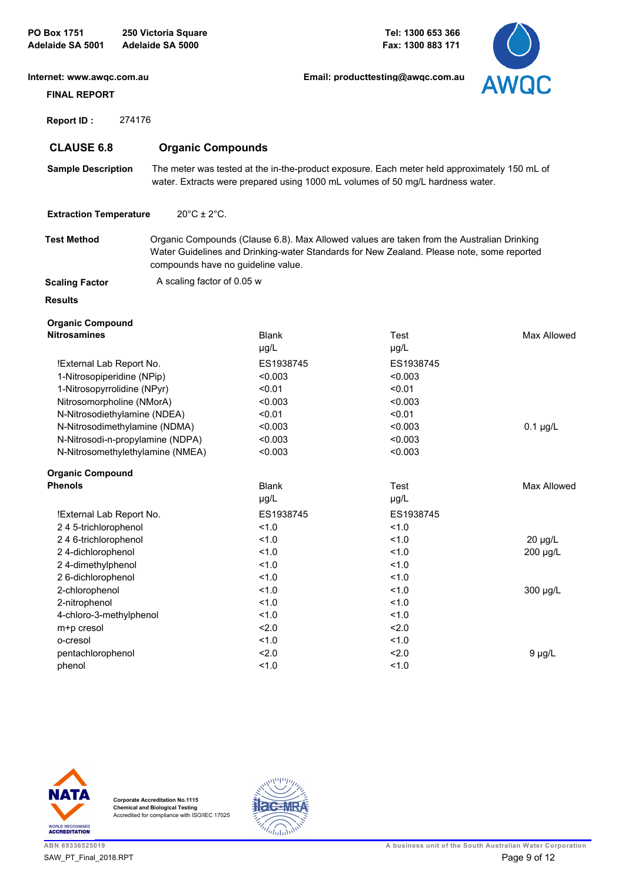**PO Box 1751 250 Victoria Square Adelaide SA 5001 Adelaide SA 5000**

**Tel: 1300 653 366 Fax: 1300 883 171**



| Internet: www.awgc.com.au                      |                                    |                           | Email: producttesting@awgc.com.au                                                                                                                                                      | <b>AWQC</b>        |
|------------------------------------------------|------------------------------------|---------------------------|----------------------------------------------------------------------------------------------------------------------------------------------------------------------------------------|--------------------|
| <b>FINAL REPORT</b>                            |                                    |                           |                                                                                                                                                                                        |                    |
| 274176<br><b>Report ID:</b>                    |                                    |                           |                                                                                                                                                                                        |                    |
| <b>CLAUSE 6.8</b>                              | <b>Organic Compounds</b>           |                           |                                                                                                                                                                                        |                    |
| <b>Sample Description</b>                      |                                    |                           | The meter was tested at the in-the-product exposure. Each meter held approximately 150 mL of<br>water. Extracts were prepared using 1000 mL volumes of 50 mg/L hardness water.         |                    |
| <b>Extraction Temperature</b>                  | $20^{\circ}$ C ± 2 $^{\circ}$ C.   |                           |                                                                                                                                                                                        |                    |
| <b>Test Method</b>                             | compounds have no guideline value. |                           | Organic Compounds (Clause 6.8). Max Allowed values are taken from the Australian Drinking<br>Water Guidelines and Drinking-water Standards for New Zealand. Please note, some reported |                    |
| <b>Scaling Factor</b>                          | A scaling factor of 0.05 w         |                           |                                                                                                                                                                                        |                    |
| <b>Results</b>                                 |                                    |                           |                                                                                                                                                                                        |                    |
| <b>Organic Compound</b><br><b>Nitrosamines</b> |                                    | <b>Blank</b><br>$\mu$ g/L | Test<br>$\mu$ g/L                                                                                                                                                                      | Max Allowed        |
| !External Lab Report No.                       |                                    | ES1938745                 | ES1938745                                                                                                                                                                              |                    |
| 1-Nitrosopiperidine (NPip)                     |                                    | < 0.003                   | < 0.003                                                                                                                                                                                |                    |
| 1-Nitrosopyrrolidine (NPyr)                    |                                    | < 0.01                    | < 0.01                                                                                                                                                                                 |                    |
| Nitrosomorpholine (NMorA)                      |                                    | < 0.003                   | < 0.003                                                                                                                                                                                |                    |
| N-Nitrosodiethylamine (NDEA)                   |                                    | < 0.01                    | < 0.01                                                                                                                                                                                 |                    |
| N-Nitrosodimethylamine (NDMA)                  |                                    | < 0.003                   | < 0.003                                                                                                                                                                                | $0.1 \mu g/L$      |
| N-Nitrosodi-n-propylamine (NDPA)               |                                    | < 0.003                   | < 0.003                                                                                                                                                                                |                    |
| N-Nitrosomethylethylamine (NMEA)               |                                    | < 0.003                   | < 0.003                                                                                                                                                                                |                    |
| <b>Organic Compound</b>                        |                                    |                           |                                                                                                                                                                                        |                    |
| <b>Phenols</b>                                 |                                    | <b>Blank</b>              | Test                                                                                                                                                                                   | <b>Max Allowed</b> |
|                                                |                                    | $\mu$ g/L                 | $\mu$ g/L                                                                                                                                                                              |                    |
| !External Lab Report No.                       |                                    | ES1938745                 | ES1938745                                                                                                                                                                              |                    |
| 245-trichlorophenol                            |                                    | 1.0                       | 1.0                                                                                                                                                                                    |                    |
| 246-trichlorophenol                            |                                    | 1.0                       | 1.0                                                                                                                                                                                    | 20 µg/L            |
| 24-dichlorophenol                              |                                    | 1.0                       | 1.0                                                                                                                                                                                    | 200 µg/L           |
| 24-dimethylphenol                              |                                    | 1.0                       | 1.0                                                                                                                                                                                    |                    |
| 26-dichlorophenol                              |                                    | 1.0                       | 1.0                                                                                                                                                                                    |                    |
| 2-chlorophenol                                 |                                    | 1.0                       | 1.0                                                                                                                                                                                    | 300 µg/L           |
| 2-nitrophenol                                  |                                    | 1.0                       | 1.0                                                                                                                                                                                    |                    |
| 4-chloro-3-methylphenol                        |                                    | 1.0                       | 1.0                                                                                                                                                                                    |                    |
| m+p cresol                                     |                                    | 2.0                       | 2.0                                                                                                                                                                                    |                    |
| o-cresol                                       |                                    | 1.0                       | 1.0                                                                                                                                                                                    |                    |
| pentachlorophenol                              |                                    | 2.0                       | 2.0                                                                                                                                                                                    | $9 \mu g/L$        |
| phenol                                         |                                    | 1.0                       | 1.0                                                                                                                                                                                    |                    |



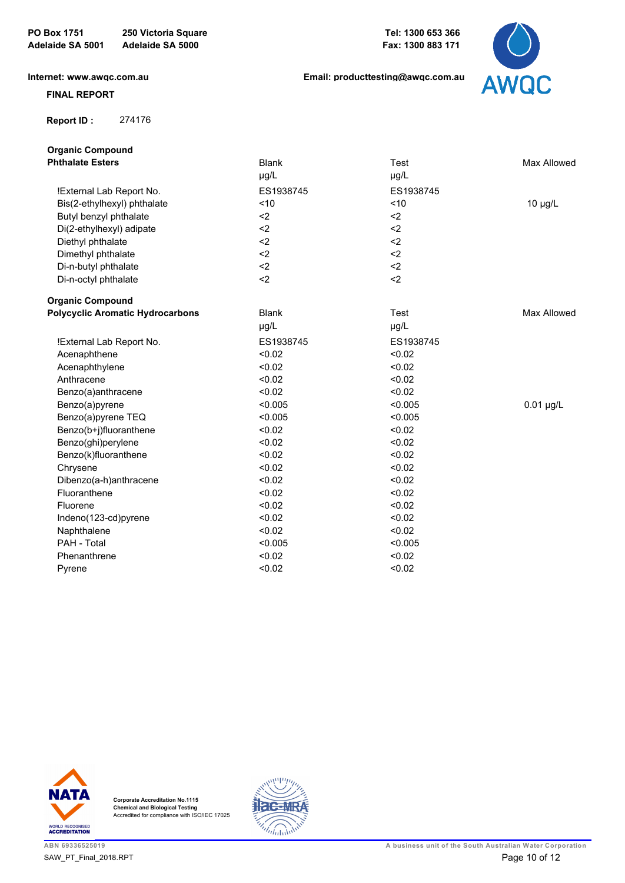**Tel: 1300 653 366 Fax: 1300 883 171**

**[Email: producttesting@awqc.com.au](mailto:awqc@sawater.com.au)**

**[Internet: www.awqc.com.au](https://www.awqc.com.au)**

#### **FINAL REPORT**

 **Report ID :** 274176



| <b>Organic Compound</b>                 |              |           |              |
|-----------------------------------------|--------------|-----------|--------------|
| <b>Phthalate Esters</b>                 | <b>Blank</b> | Test      | Max Allowed  |
|                                         | µg/L         | µg/L      |              |
| !External Lab Report No.                | ES1938745    | ES1938745 |              |
| Bis(2-ethylhexyl) phthalate             | ~10          | $<10$     | $10 \mu g/L$ |
| Butyl benzyl phthalate                  | $2$          | $2$       |              |
| Di(2-ethylhexyl) adipate                | $2$          | $2$       |              |
| Diethyl phthalate                       | $2$          | $2$       |              |
| Dimethyl phthalate                      | $2$          | $2$       |              |
| Di-n-butyl phthalate                    | $2$          | $2$       |              |
| Di-n-octyl phthalate                    | $2$          | $2$       |              |
| <b>Organic Compound</b>                 |              |           |              |
| <b>Polycyclic Aromatic Hydrocarbons</b> | <b>Blank</b> | Test      | Max Allowed  |
|                                         | µg/L         | µg/L      |              |
| !External Lab Report No.                | ES1938745    | ES1938745 |              |
| Acenaphthene                            | < 0.02       | < 0.02    |              |
| Acenaphthylene                          | < 0.02       | < 0.02    |              |
| Anthracene                              | < 0.02       | < 0.02    |              |
| Benzo(a)anthracene                      | < 0.02       | < 0.02    |              |
| Benzo(a)pyrene                          | < 0.005      | < 0.005   | $0.01$ µg/L  |
| Benzo(a)pyrene TEQ                      | < 0.005      | < 0.005   |              |
| Benzo(b+j)fluoranthene                  | < 0.02       | < 0.02    |              |
| Benzo(ghi)perylene                      | < 0.02       | < 0.02    |              |
| Benzo(k)fluoranthene                    | < 0.02       | < 0.02    |              |
| Chrysene                                | < 0.02       | < 0.02    |              |
| Dibenzo(a-h)anthracene                  | < 0.02       | < 0.02    |              |
| Fluoranthene                            | < 0.02       | < 0.02    |              |
| Fluorene                                | < 0.02       | < 0.02    |              |
| Indeno(123-cd)pyrene                    | < 0.02       | < 0.02    |              |
| Naphthalene                             | < 0.02       | < 0.02    |              |
| PAH - Total                             | < 0.005      | < 0.005   |              |
| Phenanthrene                            | < 0.02       | < 0.02    |              |
| Pyrene                                  | < 0.02       | < 0.02    |              |



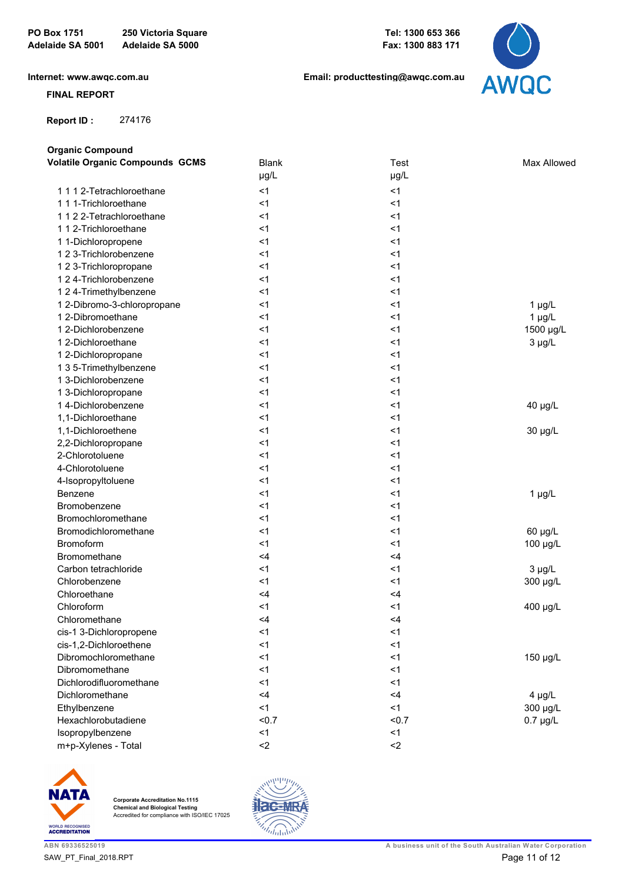**[Internet: www.awqc.com.au](https://www.awqc.com.au)**

#### **FINAL REPORT**

 **Report ID :** 274176

**Organic Compound**

**[Email: producttesting@awqc.com.au](mailto:awqc@sawater.com.au)**



| <b>Volatile Organic Compounds GCMS</b> | <b>Blank</b> | <b>Test</b>            | Max Allowed   |
|----------------------------------------|--------------|------------------------|---------------|
|                                        | µg/L         | µg/L                   |               |
| 1112-Tetrachloroethane                 | $<$ 1        | < 1                    |               |
| 1 1 1-Trichloroethane                  | $<$ 1        | < 1                    |               |
| 1122-Tetrachloroethane                 | $<$ 1        | <1                     |               |
| 1 1 2-Trichloroethane                  | $<$ 1        | $<$ 1                  |               |
| 1 1-Dichloropropene                    | $<$ 1        | <1                     |               |
| 1 2 3-Trichlorobenzene                 | $<$ 1        | $<$ 1                  |               |
| 1 2 3-Trichloropropane                 | $<$ 1        | <1                     |               |
| 1 2 4-Trichlorobenzene                 | $<$ 1        | $<$ 1                  |               |
| 1 2 4-Trimethylbenzene                 | $<$ 1        | <1                     |               |
| 1 2-Dibromo-3-chloropropane            | $<$ 1        | <1                     | $1 \mu g/L$   |
| 1 2-Dibromoethane                      | $<$ 1        | <1                     | $1 \mu g/L$   |
| 1 2-Dichlorobenzene                    | $<$ 1        | <1                     | 1500 µg/L     |
| 1 2-Dichloroethane                     | $<$ 1        | <1                     | $3 \mu g/L$   |
| 1 2-Dichloropropane                    | $<$ 1        | $<$ 1                  |               |
| 1 3 5-Trimethylbenzene                 | $<$ 1        | <1                     |               |
| 1 3-Dichlorobenzene                    | $<$ 1        | $<$ 1                  |               |
| 1 3-Dichloropropane                    | $<$ 1        | <1                     |               |
| 14-Dichlorobenzene                     | $<$ 1        | <1                     | 40 µg/L       |
| 1,1-Dichloroethane                     | $<$ 1        | <1                     |               |
| 1,1-Dichloroethene                     | $<$ 1        | $<$ 1                  | 30 µg/L       |
| 2,2-Dichloropropane                    | $<$ 1        | <1                     |               |
| 2-Chlorotoluene                        | $<$ 1        | $<$ 1                  |               |
| 4-Chlorotoluene                        | $<$ 1        | <1                     |               |
| 4-Isopropyltoluene                     | $<$ 1        | <1                     |               |
| <b>Benzene</b>                         | $<$ 1        | <1                     | $1 \mu g/L$   |
| Bromobenzene                           | $<$ 1        | $<$ 1                  |               |
| Bromochloromethane                     | $<$ 1        | <1                     |               |
| Bromodichloromethane                   | $<$ 1        | <1                     | 60 µg/L       |
| Bromoform                              | $<$ 1        | <1                     | 100 µg/L      |
| Bromomethane                           | $<$ 4        | $<$ 4                  |               |
| Carbon tetrachloride                   | $<$ 1        | <1                     | $3 \mu g/L$   |
| Chlorobenzene                          | $<$ 1        | $<$ 1                  | 300 µg/L      |
| Chloroethane                           | $<$ 4        | <4                     |               |
| Chloroform                             | $<$ 1        | <1                     | 400 µg/L      |
| Chloromethane                          | $<$ 4        | $<$ 4                  |               |
| cis-1 3-Dichloropropene                | $<$ 1        | $<$ 1                  |               |
| cis-1,2-Dichloroethene                 | $<$ 1        | < 1                    |               |
| Dibromochloromethane                   | $<$ 1        | <1                     | 150 µg/L      |
| Dibromomethane                         | $<$ 1        | <1                     |               |
| Dichlorodifluoromethane                | $<$ 1        | <1                     |               |
| Dichloromethane                        | $<$ 4        | <4                     | $4 \mu g/L$   |
| Ethylbenzene                           | $<$ 1        | <1                     | 300 µg/L      |
| Hexachlorobutadiene                    | < 0.7        | < 0.7                  | $0.7 \mu g/L$ |
| Isopropylbenzene                       | < 1          | < 1                    |               |
| m+p-Xylenes - Total                    | $2$          | $\mathord{\text{<}} 2$ |               |